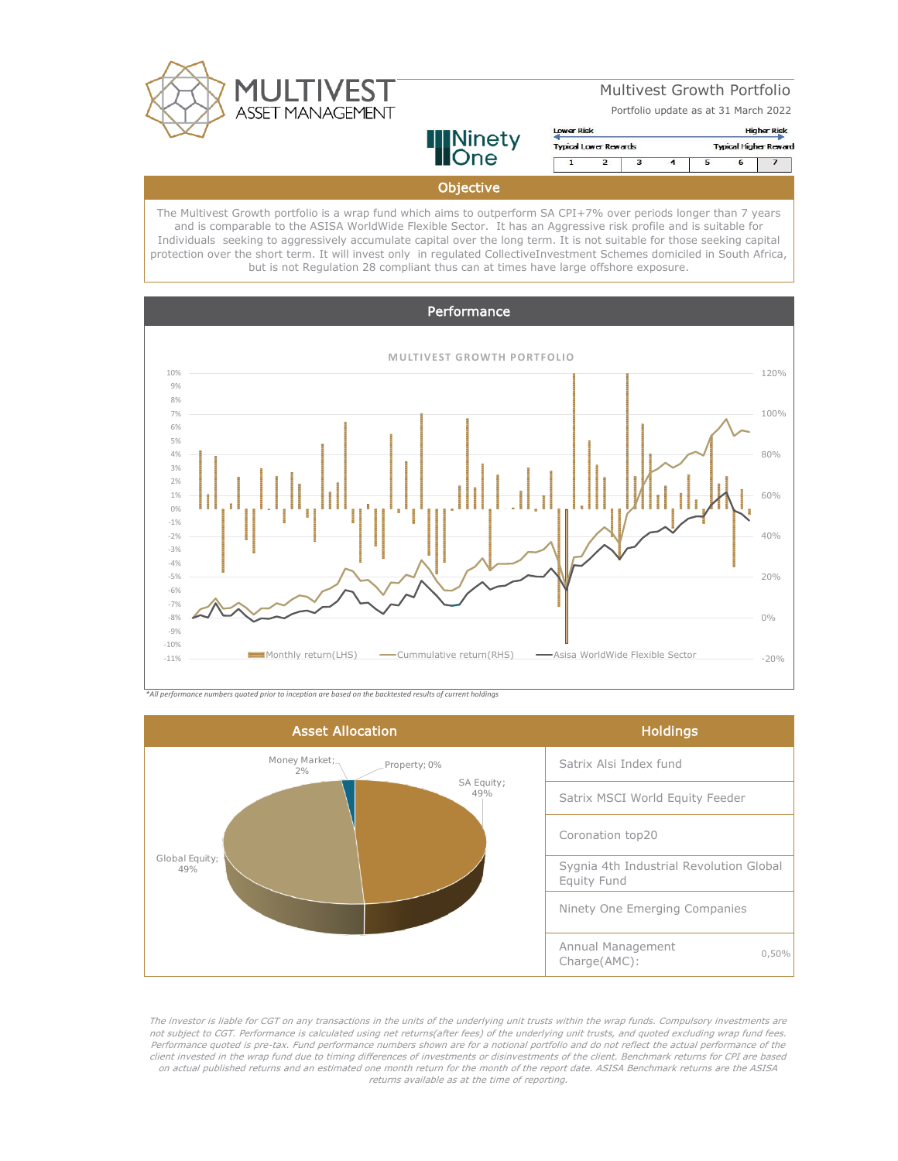

Multivest Growth Portfolio

Portfolio update as at 31 March 2022

**Ninety**<br>**None** Objective

Lower Risk **Higher Risk Typical Lower Rewards Typical Higher Reward**  $\overline{2}$  $\overline{6}$ 7  $\overline{4}$  $\overline{5}$  $\overline{ }$ 

The Multivest Growth portfolio is a wrap fund which aims to outperform SA CPI+7% over periods longer than 7 years and is comparable to the ASISA WorldWide Flexible Sector. It has an Aggressive risk profile and is suitable for Individuals seeking to aggressively accumulate capital over the long term. It is not suitable for those seeking capital protection over the short term. It will invest only in regulated CollectiveInvestment Schemes domiciled in South Africa, but is not Regulation 28 compliant thus can at times have large offshore exposure.



*\*All performance numbers quoted prior to inception are based on the backtested results of current holdings*



The investor is liable for CGT on any transactions in the units of the underlying unit trusts within the wrap funds. Compulsory investments are not subject to CGT. Performance is calculated using net returns(after fees) of the underlying unit trusts, and quoted excluding wrap fund fees. Performance quoted is pre-tax. Fund performance numbers shown are for a notional portfolio and do not reflect the actual performance of the client invested in the wrap fund due to timing differences of investments or disinvestments of the client. Benchmark returns for CPI are based on actual published returns and an estimated one month return for the month of the report date. ASISA Benchmark returns are the ASISA returns available as at the time of reporting.